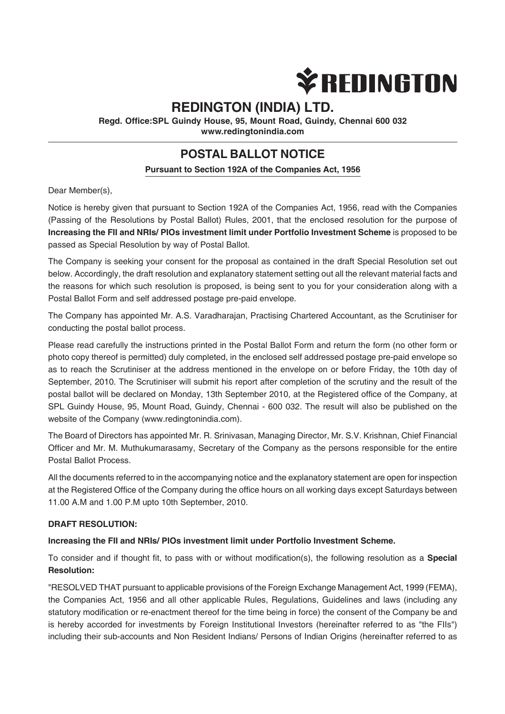

# **REDINGTON (INDIA) LTD.**

**Regd. Office:SPL Guindy House, 95, Mount Road, Guindy, Chennai 600 032 www.redingtonindia.com**

# **POSTAL BALLOT NOTICE**

### **Pursuant to Section 192A of the Companies Act, 1956**

Dear Member(s),

Notice is hereby given that pursuant to Section 192A of the Companies Act, 1956, read with the Companies (Passing of the Resolutions by Postal Ballot) Rules, 2001, that the enclosed resolution for the purpose of **Increasing the FII and NRIs/ PIOs investment limit under Portfolio Investment Scheme** is proposed to be passed as Special Resolution by way of Postal Ballot.

The Company is seeking your consent for the proposal as contained in the draft Special Resolution set out below. Accordingly, the draft resolution and explanatory statement setting out all the relevant material facts and the reasons for which such resolution is proposed, is being sent to you for your consideration along with a Postal Ballot Form and self addressed postage pre-paid envelope.

The Company has appointed Mr. A.S. Varadharajan, Practising Chartered Accountant, as the Scrutiniser for conducting the postal ballot process.

Please read carefully the instructions printed in the Postal Ballot Form and return the form (no other form or photo copy thereof is permitted) duly completed, in the enclosed self addressed postage pre-paid envelope so as to reach the Scrutiniser at the address mentioned in the envelope on or before Friday, the 10th day of September, 2010. The Scrutiniser will submit his report after completion of the scrutiny and the result of the postal ballot will be declared on Monday, 13th September 2010, at the Registered office of the Company, at SPL Guindy House, 95, Mount Road, Guindy, Chennai - 600 032. The result will also be published on the website of the Company (www.redingtonindia.com).

The Board of Directors has appointed Mr. R. Srinivasan, Managing Director, Mr. S.V. Krishnan, Chief Financial Officer and Mr. M. Muthukumarasamy, Secretary of the Company as the persons responsible for the entire Postal Ballot Process.

All the documents referred to in the accompanying notice and the explanatory statement are open for inspection at the Registered Office of the Company during the office hours on all working days except Saturdays between 11.00 A.M and 1.00 P.M upto 10th September, 2010.

#### **DRAFT RESOLUTION:**

#### **Increasing the FII and NRIs/ PIOs investment limit under Portfolio Investment Scheme.**

To consider and if thought fit, to pass with or without modification(s), the following resolution as a **Special Resolution:**

"RESOLVED THAT pursuant to applicable provisions of the Foreign Exchange Management Act, 1999 (FEMA), the Companies Act, 1956 and all other applicable Rules, Regulations, Guidelines and laws (including any statutory modification or re-enactment thereof for the time being in force) the consent of the Company be and is hereby accorded for investments by Foreign Institutional Investors (hereinafter referred to as "the FIIs") including their sub-accounts and Non Resident Indians/ Persons of Indian Origins (hereinafter referred to as